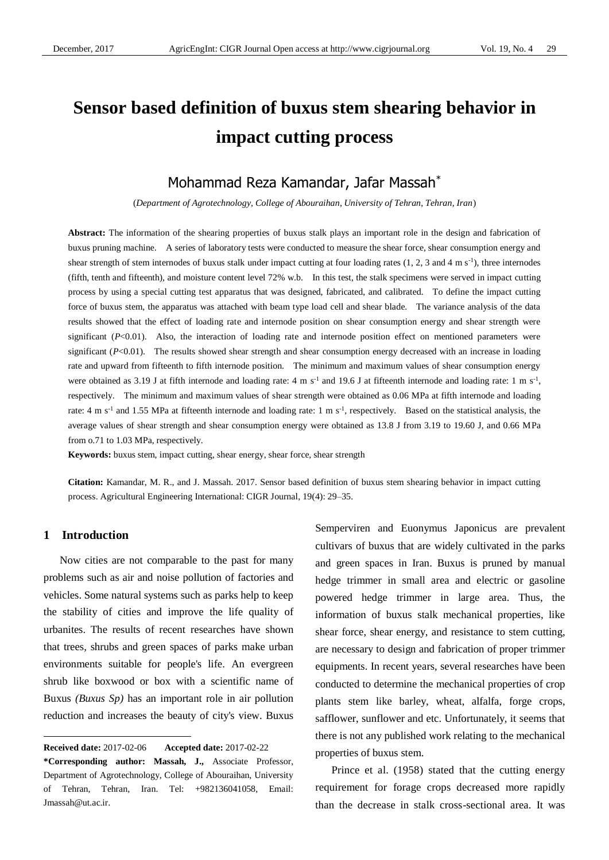# **Sensor based definition of buxus stem shearing behavior in impact cutting process**

# Mohammad Reza Kamandar, Jafar Massah\*

(*Department of Agrotechnology, College of Abouraihan, University of Tehran, Tehran, Iran*)

Abstract: The information of the shearing properties of buxus stalk plays an important role in the design and fabrication of buxus pruning machine. A series of laboratory tests were conducted to measure the shear force, shear consumption energy and shear strength of stem internodes of buxus stalk under impact cutting at four loading rates  $(1, 2, 3$  and  $4 \text{ m s}^{-1})$ , three internodes (fifth, tenth and fifteenth), and moisture content level 72% w.b. In this test, the stalk specimens were served in impact cutting process by using a special cutting test apparatus that was designed, fabricated, and calibrated. To define the impact cutting force of buxus stem, the apparatus was attached with beam type load cell and shear blade. The variance analysis of the data results showed that the effect of loading rate and internode position on shear consumption energy and shear strength were significant (*P*<0.01). Also, the interaction of loading rate and internode position effect on mentioned parameters were significant  $(P<0.01)$ . The results showed shear strength and shear consumption energy decreased with an increase in loading rate and upward from fifteenth to fifth internode position. The minimum and maximum values of shear consumption energy were obtained as 3.19 J at fifth internode and loading rate: 4 m s<sup>-1</sup> and 19.6 J at fifteenth internode and loading rate: 1 m s<sup>-1</sup>, respectively. The minimum and maximum values of shear strength were obtained as 0.06 MPa at fifth internode and loading rate:  $4 \text{ m s}^{-1}$  and 1.55 MPa at fifteenth internode and loading rate:  $1 \text{ m s}^{-1}$ , respectively. Based on the statistical analysis, the average values of shear strength and shear consumption energy were obtained as 13.8 J from 3.19 to 19.60 J, and 0.66 MPa from o.71 to 1.03 MPa, respectively.

**Keywords:** buxus stem, impact cutting, shear energy, shear force, shear strength

**Citation:** Kamandar, M. R., and J. Massah. 2017. Sensor based definition of buxus stem shearing behavior in impact cutting process. Agricultural Engineering International: CIGR Journal, 19(4): 29–35.

# **1 Introduction**

 $\overline{a}$ 

Now cities are not comparable to the past for many problems such as air and noise pollution of factories and vehicles. Some natural systems such as parks help to keep the stability of cities and improve the life quality of urbanites. The results of recent researches have shown that trees, shrubs and green spaces of parks make urban environments suitable for people's life. An evergreen shrub like boxwood or box with a scientific name of Buxus *(Buxus Sp)* has an important role in air pollution reduction and increases the beauty of city's view. Buxus

Semperviren and Euonymus Japonicus are prevalent cultivars of buxus that are widely cultivated in the parks and green spaces in Iran. Buxus is pruned by manual hedge trimmer in small area and electric or gasoline powered hedge trimmer in large area. Thus, the information of buxus stalk mechanical properties, like shear force, shear energy, and resistance to stem cutting, are necessary to design and fabrication of proper trimmer equipments. In recent years, several researches have been conducted to determine the mechanical properties of crop plants stem like barley, wheat, alfalfa, forge crops, safflower, sunflower and etc. Unfortunately, it seems that there is not any published work relating to the mechanical properties of buxus stem.

[Prince et al. \(1958\)](#page-6-0) stated that the cutting energy requirement for forage crops decreased more rapidly than the decrease in stalk cross-sectional area. It was

**Received date:** 2017-02-06 **Accepted date:** 2017-02-22

**<sup>\*</sup>Corresponding author: Massah, J.,** Associate Professor, Department of Agrotechnology, College of Abouraihan, University of Tehran, Tehran, Iran. Tel: +982136041058, Email: Jmassah@ut.ac.ir.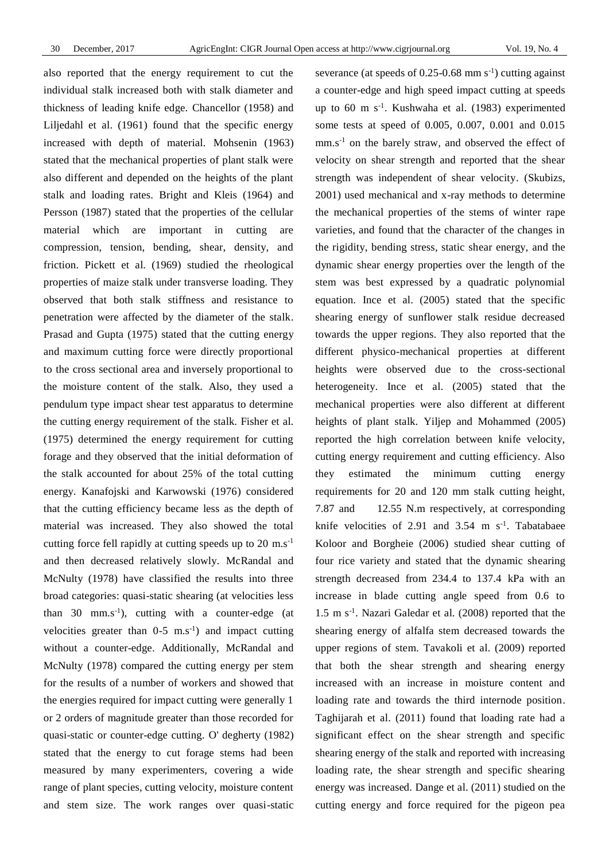also reported that the energy requirement to cut the individual stalk increased both with stalk diameter and thickness of leading knife edge. [Chancellor \(1958\)](#page-5-0) and [Liljedahl et al. \(1961\)](#page-6-1) found that the specific energy increased with depth of material. [Mohsenin \(1963\)](#page-6-2) stated that the mechanical properties of plant stalk were also different and depended on the heights of the plant stalk and loading rates. Bright and Kleis (1964) and [Persson \(1987\)](#page-6-3) stated that the properties of the cellular material which are important in cutting are compression, tension, bending, shear, density, and friction. [Pickett et al. \(1969\)](#page-6-4) studied the rheological properties of maize stalk under transverse loading. They observed that both stalk stiffness and resistance to penetration were affected by the diameter of the stalk. [Prasad and Gupta \(1975\)](#page-6-5) stated that the cutting energy and maximum cutting force were directly proportional to the cross sectional area and inversely proportional to the moisture content of the stalk. Also, they used a pendulum type impact shear test apparatus to determine the cutting energy requirement of the stalk. [Fisher et al.](#page-6-6)  [\(1975\)](#page-6-6) determined the energy requirement for cutting forage and they observed that the initial deformation of the stalk accounted for about 25% of the total cutting energy. [Kanafojski and Karwowski \(1976\)](#page-6-7) considered that the cutting efficiency became less as the depth of material was increased. They also showed the total cutting force fell rapidly at cutting speeds up to 20 m.s-1 and then decreased relatively slowly. [McRandal and](#page-6-8)  [McNulty \(1978\)](#page-6-8) have classified the results into three broad categories: quasi-static shearing (at velocities less than 30 mm.s<sup>-1</sup>), cutting with a counter-edge (at velocities greater than  $0-5$  m.s<sup>-1</sup>) and impact cutting without a counter-edge. Additionally, [McRandal and](#page-6-8)  [McNulty \(1978\)](#page-6-8) compared the cutting energy per stem for the results of a number of workers and showed that the energies required for impact cutting were generally 1 or 2 orders of magnitude greater than those recorded for quasi-static or counter-edge cutting. [O' degherty \(1982\)](#page-6-9) stated that the energy to cut forage stems had been measured by many experimenters, covering a wide range of plant species, cutting velocity, moisture content and stem size. The work ranges over quasi-static

severance (at speeds of  $0.25$ -0.68 mm s<sup>-1</sup>) cutting against a counter-edge and high speed impact cutting at speeds up to 60 m s -1 . [Kushwaha et](#page-6-10) al. (1983) experimented some tests at speed of 0.005, 0.007, 0.001 and 0.015 mm.s<sup>-1</sup> on the barely straw, and observed the effect of velocity on shear strength and reported that the shear strength was independent of shear velocity. [\(Skubizs,](#page-7-0)  [2001\)](#page-7-0) used mechanical and x-ray methods to determine the mechanical properties of the stems of winter rape varieties, and found that the character of the changes in the rigidity, bending stress, static shear energy, and the dynamic shear energy properties over the length of the stem was best expressed by a quadratic polynomial equation. [Ince et al. \(2005\)](#page-6-11) stated that the specific shearing energy of sunflower stalk residue decreased towards the upper regions. They also reported that the different physico-mechanical properties at different heights were observed due to the cross-sectional heterogeneity. [Ince et al. \(2005\)](#page-6-11) stated that the mechanical properties were also different at different heights of plant stalk. [Yiljep and Mohammed \(2005\)](#page-7-1) reported the high correlation between knife velocity, cutting energy requirement and cutting efficiency. Also they estimated the minimum cutting energy requirements for 20 and 120 mm stalk cutting height, 7.87 and 12.55 N.m respectively, at corresponding knife velocities of 2.91 and 3.54 m  $s^{-1}$ . Tabatabaee [Koloor and Borgheie \(2006\)](#page-7-2) studied shear cutting of four rice variety and stated that the dynamic shearing strength decreased from 234.4 to 137.4 kPa with an increase in blade cutting angle speed from 0.6 to 1.5 m s -1 . [Nazari Galedar et al. \(2008\)](#page-6-12) reported that the shearing energy of alfalfa stem decreased towards the upper regions of stem. [Tavakoli et al. \(2009\)](#page-7-3) reported that both the shear strength and shearing energy increased with an increase in moisture content and loading rate and towards the third internode position. [Taghijarah et al. \(2011\)](#page-7-4) found that loading rate had a significant effect on the shear strength and specific shearing energy of the stalk and reported with increasing loading rate, the shear strength and specific shearing energy was increased. [Dange et al. \(2011\)](#page-5-1) studied on the cutting energy and force required for the pigeon pea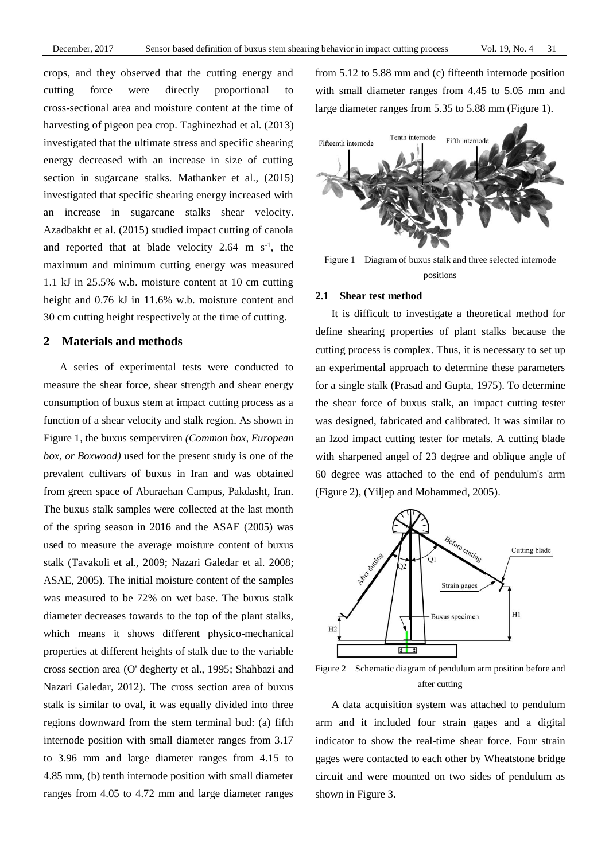crops, and they observed that the cutting energy and cutting force were directly proportional to cross-sectional area and moisture content at the time of harvesting of pigeon pea crop. [Taghinezhad et al. \(2013\)](#page-7-5) investigated that the ultimate stress and specific shearing energy decreased with an increase in size of cutting section in sugarcane stalks. [Mathanker et al., \(2015\)](#page-6-13) investigated that specific shearing energy increased with an increase in sugarcane stalks shear velocity. [Azadbakht et al. \(2015\)](#page-5-2) studied impact cutting of canola and reported that at blade velocity  $2.64 \text{ m s}^{-1}$ , the maximum and minimum cutting energy was measured 1.1 kJ in 25.5% w.b. moisture content at 10 cm cutting height and 0.76 kJ in 11.6% w.b. moisture content and 30 cm cutting height respectively at the time of cutting.

# **2 Materials and methods**

A series of experimental tests were conducted to measure the shear force, shear strength and shear energy consumption of buxus stem at impact cutting process as a function of a shear velocity and stalk region. As shown in Figure 1, the buxus semperviren *(Common box, European box, or Boxwood)* used for the present study is one of the prevalent cultivars of buxus in Iran and was obtained from green space of Aburaehan Campus, Pakdasht, Iran. The buxus stalk samples were collected at the last month of the spring season in 2016 and the ASAE (2005) was used to measure the average moisture content of buxus stalk [\(Tavakoli et al., 2009;](#page-7-3) [Nazari Galedar et al. 2008;](#page-6-12) [ASAE, 2005\)](#page-5-3). The initial moisture content of the samples was measured to be 72% on wet base. The buxus stalk diameter decreases towards to the top of the plant stalks, which means it shows different physico-mechanical properties at different heights of stalk due to the variable cross section area [\(O' degherty et al., 1995;](#page-6-14) [Shahbazi and](#page-6-15)  [Nazari Galedar, 2012\)](#page-6-15). The cross section area of buxus stalk is similar to oval, it was equally divided into three regions downward from the stem terminal bud: (a) fifth internode position with small diameter ranges from 3.17 to 3.96 mm and large diameter ranges from 4.15 to 4.85 mm, (b) tenth internode position with small diameter ranges from 4.05 to 4.72 mm and large diameter ranges from 5.12 to 5.88 mm and (c) fifteenth internode position with small diameter ranges from 4.45 to 5.05 mm and large diameter ranges from 5.35 to 5.88 mm (Figure 1).



Figure 1 Diagram of buxus stalk and three selected internode positions

#### **2.1 Shear test method**

It is difficult to investigate a theoretical method for define shearing properties of plant stalks because the cutting process is complex. Thus, it is necessary to set up an experimental approach to determine these parameters for a single stalk [\(Prasad and Gupta, 1975\)](#page-6-5). To determine the shear force of buxus stalk, an impact cutting tester was designed, fabricated and calibrated. It was similar to an Izod impact cutting tester for metals. A cutting blade with sharpened angel of 23 degree and oblique angle of 60 degree was attached to the end of pendulum's arm (Figure 2), [\(Yiljep and Mohammed, 2005\)](#page-7-1).



Figure 2 Schematic diagram of pendulum arm position before and after cutting

A data acquisition system was attached to pendulum arm and it included four strain gages and a digital indicator to show the real-time shear force. Four strain gages were contacted to each other by Wheatstone bridge circuit and were mounted on two sides of pendulum as shown in Figure 3.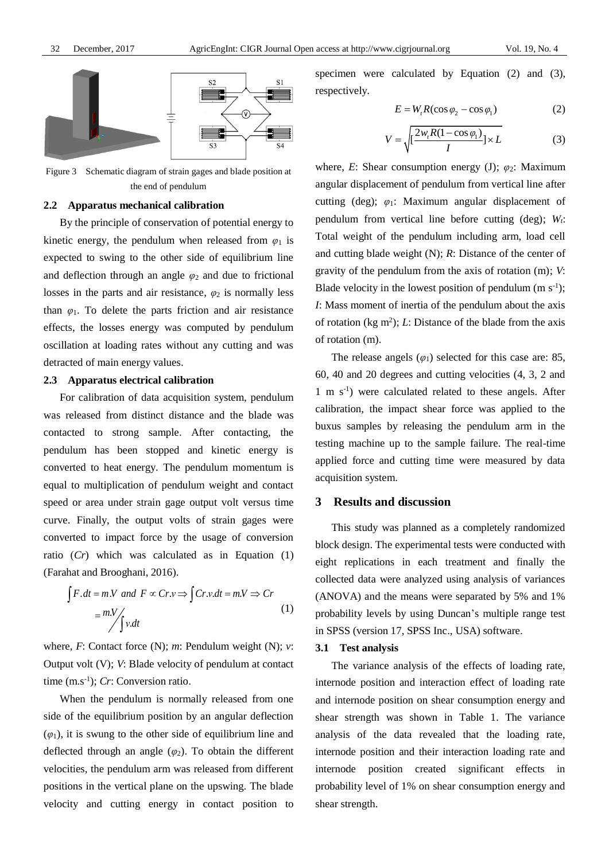

Figure 3 Schematic diagram of strain gages and blade position at the end of pendulum

### **2.2 Apparatus mechanical calibration**

By the principle of conservation of potential energy to kinetic energy, the pendulum when released from  $\varphi_1$  is expected to swing to the other side of equilibrium line and deflection through an angle  $\varphi_2$  and due to frictional losses in the parts and air resistance,  $\varphi_2$  is normally less than  $\varphi_1$ . To delete the parts friction and air resistance effects, the losses energy was computed by pendulum oscillation at loading rates without any cutting and was detracted of main energy values.

#### **2.3 Apparatus electrical calibration**

For calibration of data acquisition system, pendulum was released from distinct distance and the blade was contacted to strong sample. After contacting, the pendulum has been stopped and kinetic energy is converted to heat energy. The pendulum momentum is equal to multiplication of pendulum weight and contact speed or area under strain gage output volt versus time curve. Finally, the output volts of strain gages were converted to impact force by the usage of conversion ratio (*Cr*) which was calculated as in Equation (1)

(Farahat and Brooghani, 2016).  
\n
$$
\int F. dt = m.V \text{ and } F \propto Cr.v \Rightarrow \int Cr.v. dt = m.V \Rightarrow Cr
$$
\n
$$
= \frac{m.V}{v. dt}
$$
\n(1)

where, *F*: Contact force (N); *m*: Pendulum weight (N); *v*: Output volt (V); *V*: Blade velocity of pendulum at contact time (m.s-1 ); *Cr*: Conversion ratio.

When the pendulum is normally released from one side of the equilibrium position by an angular deflection  $(\varphi_1)$ , it is swung to the other side of equilibrium line and deflected through an angle (*φ*2). To obtain the different velocities, the pendulum arm was released from different positions in the vertical plane on the upswing. The blade velocity and cutting energy in contact position to specimen were calculated by Equation (2) and (3), respectively.

$$
E = Wt R(\cos \varphi_2 - \cos \varphi_1)
$$
 (2)

$$
V = \sqrt{\left[\frac{2w_rR(1 - \cos\varphi_1)}{I}\right] \times L}
$$
 (3)

where, *E*: Shear consumption energy (J); *φ*2: Maximum angular displacement of pendulum from vertical line after cutting (deg); *φ*1: Maximum angular displacement of pendulum from vertical line before cutting (deg); *Wt*: Total weight of the pendulum including arm, load cell and cutting blade weight (N); *R*: Distance of the center of gravity of the pendulum from the axis of rotation (m); *V*: Blade velocity in the lowest position of pendulum  $(m s<sup>-1</sup>)$ ; *I*: Mass moment of inertia of the pendulum about the axis of rotation ( $kg \text{ m}^2$ ); *L*: Distance of the blade from the axis of rotation (m).

The release angels  $(\varphi_1)$  selected for this case are: 85, 60, 40 and 20 degrees and cutting velocities (4, 3, 2 and 1 m s -1 ) were calculated related to these angels. After calibration, the impact shear force was applied to the buxus samples by releasing the pendulum arm in the testing machine up to the sample failure. The real-time applied force and cutting time were measured by data acquisition system.

# **3 Results and discussion**

This study was planned as a completely randomized block design. The experimental tests were conducted with eight replications in each treatment and finally the collected data were analyzed using analysis of variances (ANOVA) and the means were separated by 5% and 1% probability levels by using Duncan's multiple range test in SPSS (version 17, SPSS Inc., USA) software.

#### **3.1 Test analysis**

The variance analysis of the effects of loading rate, internode position and interaction effect of loading rate and internode position on shear consumption energy and shear strength was shown in Table 1. The variance analysis of the data revealed that the loading rate, internode position and their interaction loading rate and internode position created significant effects in probability level of 1% on shear consumption energy and shear strength.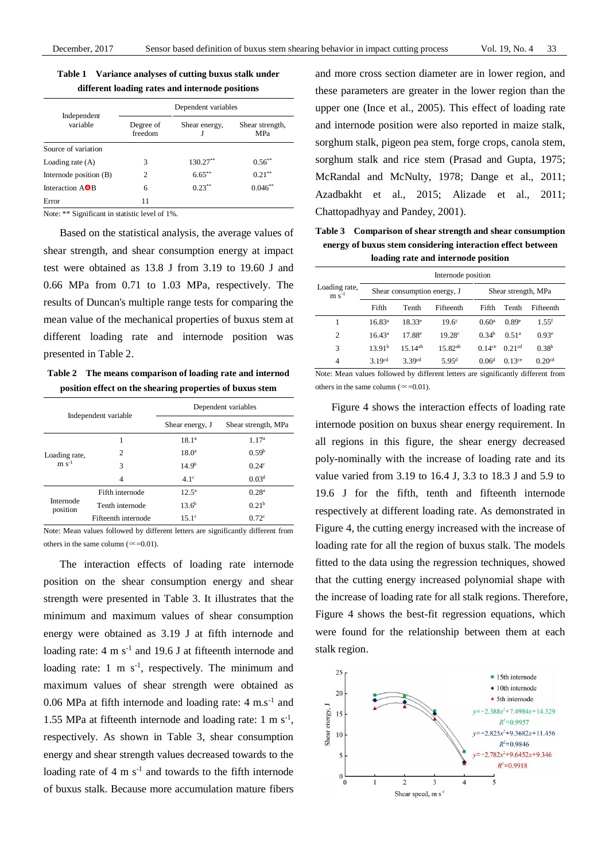| Table 1 | Variance analyses of cutting buxus stalk under  |
|---------|-------------------------------------------------|
|         | different loading rates and internode positions |

|                            | Dependent variables  |               |                               |  |  |
|----------------------------|----------------------|---------------|-------------------------------|--|--|
| Independent<br>variable    | Degree of<br>freedom | Shear energy, | Shear strength,<br><b>MPa</b> |  |  |
| Source of variation        |                      |               |                               |  |  |
| Loading rate $(A)$         | 3                    | $130.27**$    | $0.56^{**}$                   |  |  |
| Internode position (B)     | $\overline{c}$       | $6.65***$     | $0.21***$                     |  |  |
| Interaction $A \bigcirc B$ | 6                    | $0.23***$     | $0.046**$                     |  |  |
| Error                      | 11                   |               |                               |  |  |

Note: \*\* Significant in statistic level of 1%.

Based on the statistical analysis, the average values of shear strength, and shear consumption energy at impact test were obtained as 13.8 J from 3.19 to 19.60 J and 0.66 MPa from 0.71 to 1.03 MPa, respectively. The results of Duncan's multiple range tests for comparing the mean value of the mechanical properties of buxus stem at different loading rate and internode position was presented in Table 2.

**Table 2 The means comparison of loading rate and internod position effect on the shearing properties of buxus stem**

| Independent variable     |                     | Dependent variables |                     |  |  |
|--------------------------|---------------------|---------------------|---------------------|--|--|
|                          |                     | Shear energy, J     | Shear strength, MPa |  |  |
| Loading rate,<br>$m s-1$ | 1                   | 18.1 <sup>a</sup>   | 1.17 <sup>a</sup>   |  |  |
|                          | 2                   | $18.0^a$            | 0.59 <sup>b</sup>   |  |  |
|                          | 3                   | 14.9 <sup>b</sup>   | 0.24 <sup>c</sup>   |  |  |
|                          | $\overline{4}$      | 4.1 <sup>c</sup>    | 0.03 <sup>d</sup>   |  |  |
| Internode<br>position    | Fifth internode     | $12.5^{\rm a}$      | 0.28 <sup>a</sup>   |  |  |
|                          | Tenth internode     | $13.6^{b}$          | 0.21 <sup>b</sup>   |  |  |
|                          | Fifteenth internode | $15.1^{\circ}$      | 0.72c               |  |  |

Note: Mean values followed by different letters are significantly different from others in the same column ( $\approx$ =0.01).

The interaction effects of loading rate internode position on the shear consumption energy and shear strength were presented in Table 3. It illustrates that the minimum and maximum values of shear consumption energy were obtained as 3.19 J at fifth internode and loading rate: 4 m s<sup>-1</sup> and 19.6 J at fifteenth internode and loading rate:  $1 \text{ m s}^{-1}$ , respectively. The minimum and maximum values of shear strength were obtained as 0.06 MPa at fifth internode and loading rate: 4 m.s-1 and 1.55 MPa at fifteenth internode and loading rate:  $1 \text{ m s}^{-1}$ , respectively. As shown in Table 3, shear consumption energy and shear strength values decreased towards to the loading rate of  $4 \text{ m s}^{-1}$  and towards to the fifth internode of buxus stalk. Because more accumulation mature fibers

and more cross section diameter are in lower region, and these parameters are greater in the lower region than the upper one [\(Ince et al., 2005\)](#page-6-11). This effect of loading rate and internode position were also reported in maize stalk, sorghum stalk, pigeon pea stem, forge crops, canola stem, sorghum stalk and rice stem [\(Prasad and Gupta, 1975;](#page-6-5) [McRandal and McNulty, 1978;](#page-6-8) [Dange et al., 2011;](#page-5-1) [Azadbakht et al., 2015;](#page-5-2) [Alizade et al., 2011;](#page-5-5) [Chattopadhyay and Pandey, 2001\)](#page-5-6).

**Table 3 Comparison of shear strength and shear consumption energy of buxus stem considering interaction effect between loading rate and internode position**

|                             | Internode position          |                        |                   |                      |                      |                    |  |
|-----------------------------|-----------------------------|------------------------|-------------------|----------------------|----------------------|--------------------|--|
| Loading rate,<br>$m s^{-1}$ | Shear consumption energy, J |                        |                   |                      | Shear strength, MPa  |                    |  |
|                             | Fifth                       | Tenth                  | Fifteenth         | Fifth                | Tenth                | Fifteenth          |  |
|                             | 16.83 <sup>a</sup>          | $18.33^e$              | 19.6 <sup>c</sup> | 0.60 <sup>a</sup>    | 0.89e                | $1.55^{f}$         |  |
| 2                           | $16.43^a$                   | $17.88^e$              | 19.28c            | 0.34 <sup>b</sup>    | 0.51 <sup>a</sup>    | $0.93^e$           |  |
| 3                           | 13.91 <sup>b</sup>          | $15 \frac{14^{ab}}{b}$ | $15.82^{ab}$      | $0.14$ <sup>ce</sup> | $0.21$ <sup>cd</sup> | $0.38^{b}$         |  |
| 4                           | 3.19 <sup>cd</sup>          | 3.39 <sup>cd</sup>     | 5.95 <sup>d</sup> | 0.06 <sup>d</sup>    | $0.13$ <sup>ce</sup> | 0.20 <sup>cd</sup> |  |

Note: Mean values followed by different letters are significantly different from others in the same column ( $\approx$ =0.01).

Figure 4 shows the interaction effects of loading rate internode position on buxus shear energy requirement. In all regions in this figure, the shear energy decreased poly-nominally with the increase of loading rate and its value varied from 3.19 to 16.4 J, 3.3 to 18.3 J and 5.9 to 19.6 J for the fifth, tenth and fifteenth internode respectively at different loading rate. As demonstrated in Figure 4, the cutting energy increased with the increase of loading rate for all the region of buxus stalk. The models fitted to the data using the regression techniques, showed that the cutting energy increased polynomial shape with the increase of loading rate for all stalk regions. Therefore, Figure 4 shows the best-fit regression equations, which were found for the relationship between them at each stalk region.

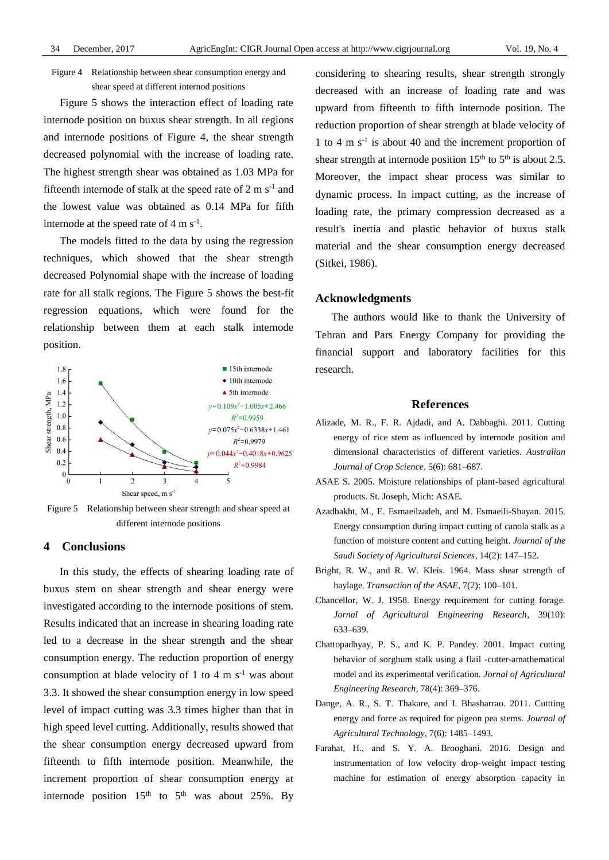Figure 4 Relationship between shear consumption energy and shear speed at different internod positions

Figure 5 shows the interaction effect of loading rate internode position on buxus shear strength. In all regions and internode positions of Figure 4, the shear strength decreased polynomial with the increase of loading rate. The highest strength shear was obtained as 1.03 MPa for fifteenth internode of stalk at the speed rate of  $2 \text{ m s}^{-1}$  and the lowest value was obtained as 0.14 MPa for fifth internode at the speed rate of  $4 \text{ m s}^{-1}$ .

The models fitted to the data by using the regression techniques, which showed that the shear strength decreased Polynomial shape with the increase of loading rate for all stalk regions. The Figure 5 shows the best-fit regression equations, which were found for the relationship between them at each stalk internode position.



Figure 5 Relationship between shear strength and shear speed at different internode positions

#### **4 Conclusions**

In this study, the effects of shearing loading rate of buxus stem on shear strength and shear energy were investigated according to the internode positions of stem. Results indicated that an increase in shearing loading rate led to a decrease in the shear strength and the shear consumption energy. The reduction proportion of energy consumption at blade velocity of 1 to 4 m  $s^{-1}$  was about 3.3. It showed the shear consumption energy in low speed level of impact cutting was 3.3 times higher than that in high speed level cutting. Additionally, results showed that the shear consumption energy decreased upward from fifteenth to fifth internode position. Meanwhile, the increment proportion of shear consumption energy at internode position  $15<sup>th</sup>$  to  $5<sup>th</sup>$  was about 25%. By

considering to shearing results, shear strength strongly decreased with an increase of loading rate and was upward from fifteenth to fifth internode position. The reduction proportion of shear strength at blade velocity of 1 to 4 m s -1 is about 40 and the increment proportion of shear strength at internode position  $15<sup>th</sup>$  to  $5<sup>th</sup>$  is about 2.5. Moreover, the impact shear process was similar to dynamic process. In impact cutting, as the increase of loading rate, the primary compression decreased as a result's inertia and plastic behavior of buxus stalk material and the shear consumption energy decreased (Sitkei, 1986).

# **Acknowledgments**

The authors would like to thank the University of Tehran and Pars Energy Company for providing the financial support and laboratory facilities for this research.

## **References**

- <span id="page-5-5"></span>Alizade, M. R., F. R. Ajdadi, and A. Dabbaghi. 2011. Cutting energy of rice stem as influenced by internode position and dimensional characteristics of different varieties. *Australian Journal of Crop Science*, 5(6): 681–687.
- <span id="page-5-3"></span>ASAE S. 2005. Moisture relationships of plant-based agricultural products. St. Joseph, Mich: ASAE.
- <span id="page-5-2"></span>Azadbakht, M., E. Esmaeilzadeh, and M. Esmaeili-Shayan. 2015. Energy consumption during impact cutting of canola stalk as a function of moisture content and cutting height. *Journal of the Saudi Society of Agricultural Sciences*, 14(2): 147–152.
- Bright, R. W., and R. W. Kleis. 1964. Mass shear strength of haylage. *Transaction of the ASAE*, 7(2): 100–101.
- <span id="page-5-0"></span>Chancellor, W. J. 1958. Energy requirement for cutting forage. *Jornal of Agricultural Engineering Research*, 39(10): 633–639.
- <span id="page-5-6"></span>Chattopadhyay, P. S., and K. P. Pandey. 2001. Impact cutting behavior of sorghum stalk using a flail -cutter-amathematical model and its experimental verification. *Jornal of Agricultural Engineering Research*, 78(4): 369–376.
- <span id="page-5-1"></span>Dange, A. R., S. T. Thakare, and I. Bhasharrao. 2011. Cuttting energy and force as required for pigeon pea stems. *Journal of Agricultural Technology*, 7(6): 1485–1493.
- <span id="page-5-4"></span>Farahat, H., and S. Y. A. Brooghani. 2016. Design and instrumentation of low velocity drop-weight impact testing machine for estimation of energy absorption capacity in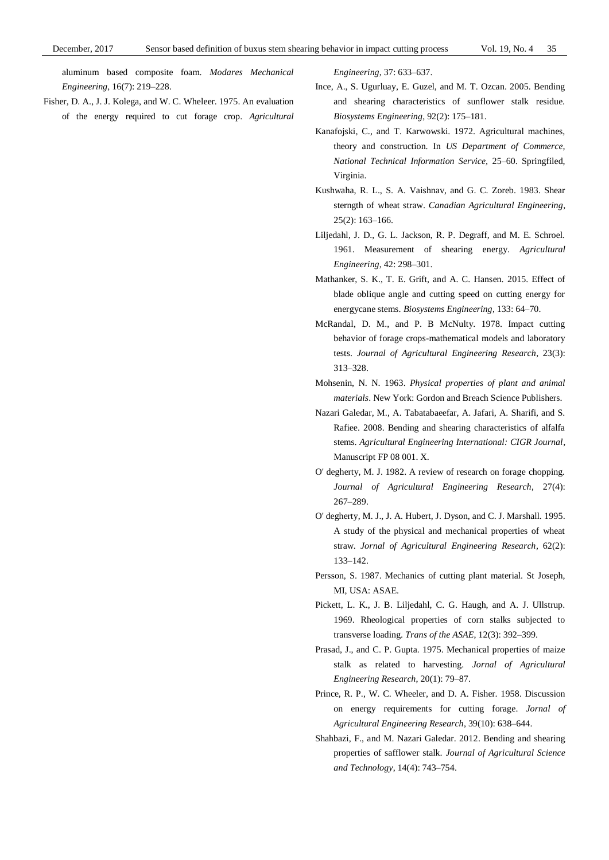aluminum based composite foam. *Modares Mechanical Engineering*, 16(7): 219–228.

<span id="page-6-6"></span>Fisher, D. A., J. J. Kolega, and W. C. Wheleer. 1975. An evaluation of the energy required to cut forage crop. *Agricultural* 

*Engineering*, 37: 633–637.

- <span id="page-6-11"></span>Ince, A., S. Ugurluay, E. Guzel, and M. T. Ozcan. 2005. Bending and shearing characteristics of sunflower stalk residue. *Biosystems Engineering*, 92(2): 175–181.
- <span id="page-6-7"></span>Kanafojski, C., and T. Karwowski. 1972. Agricultural machines, theory and construction. In *US Department of Commerce, National Technical Information Service,* 25–60. Springfiled, Virginia.
- <span id="page-6-10"></span>Kushwaha, R. L., S. A. Vaishnav, and G. C. Zoreb. 1983. Shear sterngth of wheat straw. *Canadian Agricultural Engineering*, 25(2): 163–166.
- <span id="page-6-1"></span>Liljedahl, J. D., G. L. Jackson, R. P. Degraff, and M. E. Schroel. 1961. Measurement of shearing energy. *Agricultural Engineering*, 42: 298–301.
- <span id="page-6-13"></span>Mathanker, S. K., T. E. Grift, and A. C. Hansen. 2015. Effect of blade oblique angle and cutting speed on cutting energy for energycane stems. *Biosystems Engineering*, 133: 64–70.
- <span id="page-6-8"></span>McRandal, D. M., and P. B McNulty. 1978. Impact cutting behavior of forage crops-mathematical models and laboratory tests. *Journal of Agricultural Engineering Research*, 23(3): 313–328.
- <span id="page-6-2"></span>Mohsenin, N. N. 1963. *Physical properties of plant and animal materials*. New York: Gordon and Breach Science Publishers.
- <span id="page-6-12"></span>Nazari Galedar, M., A. Tabatabaeefar, A. Jafari, A. Sharifi, and S. Rafiee. 2008. Bending and shearing characteristics of alfalfa stems. *Agricultural Engineering International: CIGR Journal*, Manuscript FP 08 001. X.
- <span id="page-6-9"></span>O' degherty, M. J. 1982. A review of research on forage chopping. *Journal of Agricultural Engineering Research*, 27(4): 267–289.
- <span id="page-6-14"></span>O' degherty, M. J., J. A. Hubert, J. Dyson, and C. J. Marshall. 1995. A study of the physical and mechanical properties of wheat straw. *Jornal of Agricultural Engineering Research,* 62(2): 133–142.
- <span id="page-6-3"></span>Persson, S. 1987. Mechanics of cutting plant material. St Joseph, MI, USA: ASAE.
- <span id="page-6-4"></span>Pickett, L. K., J. B. Liljedahl, C. G. Haugh, and A. J. Ullstrup. 1969. Rheological properties of corn stalks subjected to transverse loading. *Trans of the ASAE*, 12(3): 392–399.
- <span id="page-6-5"></span>Prasad, J., and C. P. Gupta. 1975. Mechanical properties of maize stalk as related to harvesting. *Jornal of Agricultural Engineering Research*, 20(1): 79–87.
- <span id="page-6-0"></span>Prince, R. P., W. C. Wheeler, and D. A. Fisher. 1958. Discussion on energy requirements for cutting forage. *Jornal of Agricultural Engineering Research*, 39(10): 638–644.
- <span id="page-6-15"></span>Shahbazi, F., and M. Nazari Galedar. 2012. Bending and shearing properties of safflower stalk. *Journal of Agricultural Science and Technology*, 14(4): 743–754.